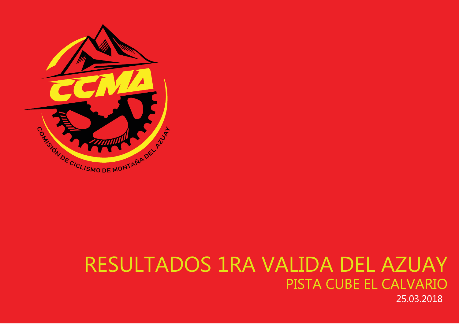

# RESULTADOS 1RA VALIDA DEL AZUAY PISTA CUBE EL CALVARIO 25.03.2018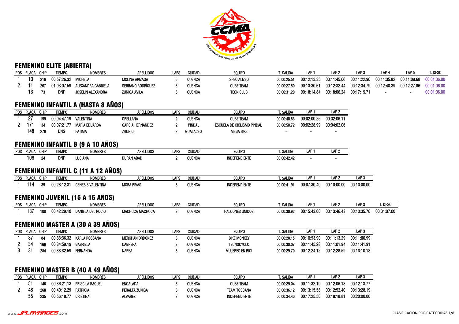

#### FEMENINO ELITE (ABIERTA)

| POS PLACA | <b>CHIF</b> | <b>TIEMPO</b> | <b>NOMBRES</b>           | <b>APELLIDOS</b>         | LAPS | <b>CIUDAD</b> | <b>EQUIPO</b>    | i. Salida   |             | – LAP ^     | ∟AP '       | L۸P۰        | LAP !       | t. Desc     |
|-----------|-------------|---------------|--------------------------|--------------------------|------|---------------|------------------|-------------|-------------|-------------|-------------|-------------|-------------|-------------|
| 10        | 216         | 00:57:26.32   | MICHFI A                 | <b>MOLINA ARIZAGA</b>    |      | CUENCA        | SPECIALIZED      | 00:00:25.5  | 00:12:13.35 | 00:11:45.06 | 00:11:22.90 | 00:11:35.82 | 00:11:09.68 | 00.01.06.00 |
|           | -267        | 01:03:07.59   | ALEXANDRA GABRIELA       | <b>SERRANO RODRÍGUEZ</b> |      | <b>CUENCA</b> | <b>CUBE TEAM</b> | 00:00:27.50 | 00:13:30.61 | 00:12:32.44 | 00:12:34.79 | 00:12:40.39 | 00:12:27.86 | 00:01:06.00 |
|           |             | DNF           | <b>JOSELIN ALEXANDRA</b> | ZUÑIGA AVILA             |      | CUENCA        | <b>TECNICLUB</b> | 00:00:31.20 | 00:18:14.84 | 00:18:06.24 | 00:17:15.71 |             |             | 00:01:06.00 |

#### FEMENINO INFANTIL A (HASTA 8 AÑOS)

| P <sub>0</sub> S | <b>PLACA</b> | <b>CHIP</b> | <b>TIEMPO</b> | <b>NOMBRES</b> | APELLIDOS               | LAPS | <b>CIUDAD</b>   | <b>EQUIPO</b>              | . Salida    | LAP <sup>-</sup>         | LAP 2       |
|------------------|--------------|-------------|---------------|----------------|-------------------------|------|-----------------|----------------------------|-------------|--------------------------|-------------|
|                  | 07           | 100         | 00:04:47.19   | VALENTINA      | ORELLANA                |      | CUENCA          | <b>CUBE TEAM</b>           | 00:00:40.83 | 00:02:00.25              | 00:02:06.11 |
|                  | 171          | 34          | 00:07:21.77   | MARIA EDUARDA  | <b>GARCIA HERNANDEZ</b> |      | PINDAL          | ESCUELA DE CICLISMO PINDAL | 00:00:50.72 | 00:02:28.99              | 00:04:02.06 |
|                  | 148          | 278         | <b>DNS</b>    | FATIMA         | Zhunio                  |      | <b>GUALACEO</b> | <b>MEGA BIKE</b>           |             | $\overline{\phantom{a}}$ |             |

#### FEMENINO INFANTIL B (9 A 10 AÑOS)

| <b>POS</b><br>.<br>uw | <b>CHIP</b> | <b>TIEMPO</b> | <b>MOMODEC</b><br><b>NUMBRES</b> | <b>APELLIDOS</b>  | <b>ADC</b> | <b>IUDAD</b>  | <b>EQUIPO</b> | . salid/   | <b>AP</b><br>- | AD 9<br>л. |
|-----------------------|-------------|---------------|----------------------------------|-------------------|------------|---------------|---------------|------------|----------------|------------|
| 108                   | $^{\circ}$  | <b>DNF</b>    | LUCIANA                          | <b>DURAN ABAD</b> |            | <b>CUENCA</b> | INDEPENDIENTE | 00:00:42.4 |                |            |

#### FEMENINO INFANTIL C (11 A 12 AÑOS)

| <b>POS</b> | PLAC/ | CHIP      | <b>TIEMPO</b> | <b>NOMBRES</b>           | <b>LLLIDOS</b><br><b>ADEI</b> | . ADC<br>י ור | Ciudad        | <b>EQUIP(</b>                       | <b>CALIDA</b><br>ישובר | LAP                         | LAP 2       | AD 5        |
|------------|-------|-----------|---------------|--------------------------|-------------------------------|---------------|---------------|-------------------------------------|------------------------|-----------------------------|-------------|-------------|
|            |       | 20<br>-33 | .<br>00:      | <b>GENESIS VALENTINA</b> | MORA RIVAS                    |               | <b>CUENCA</b> | <b>INDF<sup>r</sup></b><br>Endiente | 00:00:41.91            | 00:07<br>--<br>1.40<br>7:30 | 00:10:00.00 | 00:10:00.00 |

#### FEMENINO JUVENIL (15 A 16 AÑOS)

| <b>POS</b> | ግLAC.       | <b>CHIF</b> | tiempo      | <b>NOMBRES</b>          | <b>APELLIDOS</b>             | <b>LAPS</b> | <b>CIUDAD</b> | <b>EQUIPO</b>                 | i. Salid             | AD          | <b>AF</b><br>i Ar                      | ' AD-<br>. .                 | DESC        |
|------------|-------------|-------------|-------------|-------------------------|------------------------------|-------------|---------------|-------------------------------|----------------------|-------------|----------------------------------------|------------------------------|-------------|
|            | a nr<br>יטו | 100         | 00:42:29.10 | . Rocio<br><b>DANII</b> | HUCA MACHUCA<br><b>MACHL</b> |             | <b>CUENCA</b> | <b>HALCONES</b><br>NES UNIDOS | 00:00:30.92<br>00:00 | 00:15:43.00 | <sup>-12</sup> :46.4.<br>nn 19<br>,,,, | 00:13:35<br>۱.۱۳<br>u. 1 J.J | 00:01:07.00 |

#### FEMENINO MASTER A (30 A 39 AÑOS)

| P <sub>0</sub> S | <b>PLACA</b> | CHIP | <b>TIEMPO</b> | <b>NOMBRES</b>  | <b>APELLIDOS</b>       | LAPS | <b>CIUDAD</b> | <b>EQUIPO</b>      | . Salida    | LAP         | LAP 2       | LAP 3       |
|------------------|--------------|------|---------------|-----------------|------------------------|------|---------------|--------------------|-------------|-------------|-------------|-------------|
|                  | דה<br>JΙ     | 84   | 00:33:36.32   | KARLA ROSSANA   | <b>MERCHÁN ORDOÑEZ</b> |      | Cuenc/        | <b>BIKE MONKEY</b> | 00:00:28.15 | 00:10:53.90 | 00:11:13.29 | 00:11:00.99 |
|                  | 34           | 166  | 00:34:59.19   | <b>GABRIELA</b> | <b>CABRERA</b>         |      | Cuenc/        | <b>TECNOCYCLO</b>  | 00:00:30.07 | 00:11:45.28 | 00:11:01.94 | 00:11:41.91 |
|                  | 21           | 284  | 00:38:32.59   | FERNANDA        | Narea                  |      | Cuenc/        | MUJERES EN BICI    | 00:00:29.70 | 00:12:24.12 | 00:12:28.59 | 00:13:10.18 |

#### FEMENINO MASTER B (40 A 49 AÑOS)

| POS. | <b>PLACA</b> | CHIP | <b>TIEMPO</b> | <b>NOMBRES</b>         | <b>APELLIDOS</b> | LAPS | Ciudad        | <b>EQUIPO</b> | ∴ Salida    | LAP :       | LAP 2       | LAP 3       |
|------|--------------|------|---------------|------------------------|------------------|------|---------------|---------------|-------------|-------------|-------------|-------------|
|      |              | 146  | 00:36:21.13   | <b>PRISCILA RAQUEL</b> | <b>ENCALADA</b>  |      | CUENCA        | CUBE TEAM     | 00:00:29.04 | 00:11:32.19 | 00:12:06.13 | 00:12:13.77 |
|      | 48           | 268  | 00:40:12.29   | PATRICIA               | PERALTA ZUÑIGA   |      | CUENCA        | TEAM TOSCANA  | 00:00:36.12 | 00:13:15.58 | 00:12:52.40 | 00:13:28.19 |
|      |              | 235  | 00:56:18.77   | CRISTINA               | <b>ALVAREZ</b>   |      | <b>CUENCA</b> | INDEPENDIENTE | 00:00:34.40 | 00:17:25.56 | 00:18:18.81 | 00:20:00.00 |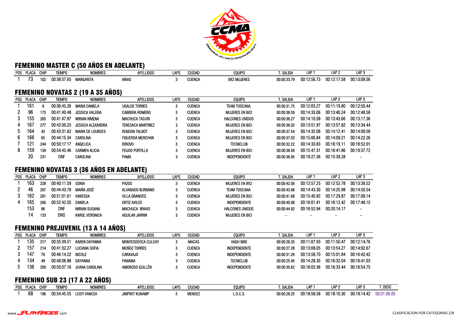

# FEMENINO MASTER C (50 AÑOS EN ADELANTE)

| POS . | <b>PLACA</b> | CHIP | <b>TIEMPO</b> | <b>NOMBRES</b>                           | <b>APELLIDOS</b>         | LAPS | <b>CIUDAD</b> | <b>EQUIPO</b>          | t. Salida   | LAP :       | LAP <sub>2</sub> | LAP 3                    |
|-------|--------------|------|---------------|------------------------------------------|--------------------------|------|---------------|------------------------|-------------|-------------|------------------|--------------------------|
|       | 73           | 102  | 00:38:57.65   | MARGARITA                                | <b>ARIAS</b>             | 3    | <b>CUENCA</b> | <b>BICI MUJERES</b>    | 00:00:33.79 | 00:12:56.73 | 00:12:17.58      | 00:13:09.56              |
|       |              |      |               |                                          |                          |      |               |                        |             |             |                  |                          |
|       |              |      |               | <b>FEMENINO NOVATAS 2 (19 A 35 ANOS)</b> |                          |      |               |                        |             |             |                  |                          |
|       | POS PLACA    | CHIP | <b>TIEMPO</b> | <b>NOMBRES</b>                           | <b>APELLIDOS</b>         | LAPS | <b>CIUDAD</b> | <b>EQUIPO</b>          | t. Salida   | LAP .       | LAP <sub>2</sub> | LAP <sub>3</sub>         |
|       | 161          | 9    | 00:36:45.26   | MARIA DANIELA                            | <b>UGALDE TORRES</b>     | 3    | <b>CUENCA</b> | TEAM TOSCANA           | 00:00:31.75 | 00:12:03.27 | 00:11:19.80      | 00:12:50.44              |
|       | 96           | 175  | 00:41:40.48   | JESSICA VALERIA                          | <b>CABRERA ROMERO</b>    | 3    | <b>CUENCA</b> | MUJERES EN BICI        | 00:00:38.59 | 00:14:33.06 | 00:13:40.24      | 00:12:48.58              |
|       | 155          | 265  | 00:41:47.87   | MIRIAN XIMENA                            | <b>MACHUCA TACURI</b>    |      | <b>CUENCA</b> | <b>HALCONES UNIDOS</b> | 00:00:36.27 | 00:14:10.58 | 00:13:43.66      | 00:13:17.36              |
|       | 167          | 277  | 00:42:00.25   | JESSICA ALEXANDRA                        | <b>TENESACA MARTINEZ</b> | 3    | CUENCA        | MUJERES EN BICI        | 00:00:36.02 | 00:13:51.97 | 00:13:57.82      | 00:13:34.44              |
| 5.    | 164          | 42   | 00:43:31.62   | <b>MARIA DE LOURDES</b>                  | <b>RENDON TALBOT</b>     | 3    | <b>CUENCA</b> | Mujeres en Bici        | 00:00:37.54 | 00:14:32.08 | 00:14:12.41      | 00:14:09.58              |
| 6     | 166          | 65   | 00:44:15.34   | CAROLINA                                 | <b>FIGUEROA MERCHAN</b>  | 3    | <b>CUENCA</b> | Mujeres en Bici        | 00:00:37.03 | 00:15:06.84 | 00:14:09.21      | 00:14:22.26              |
|       | 121          | 244  | 00:50:17.17   | ANGELICA                                 | <b>IDROVO</b>            | 3    | <b>CUENCA</b> | <b>TECNICLUB</b>       | 00:00:32.22 | 00:14:33.83 | 00:16:19.11      | 00:18:52.01              |
| 8     | 159          | 139  | 00:54:45.46   | <b>CARMEN ALICIA</b>                     | <b>FEIJOO PORTILLA</b>   |      | <b>CUENCA</b> | MUJERES EN BICI        | 00:00:38.56 | 00:15:47.31 | 00:18:41.86      | 00:19:37.72              |
|       | 20           | 231  | DNF           | CAROLINA                                 | PAMA                     |      | <b>CUENCA</b> | <b>INDEPENDIENTE</b>   | 00:00:36.95 | 00:19:27.36 | 00:15:39.28      | $\overline{\phantom{a}}$ |

#### FEMENINO NOVATAS 3 (36 AÑOS EN ADELANTE)

| POS PLACA | CHIP | tiempo      | <b>NOMBRES</b>       | <b>APELLIDOS</b>     | LAPS | CIUDAD        | <b>EQUIPO</b>          | . Salida    | LAP         | LAP <sub>2</sub>         | LAP <sub>3</sub>         |
|-----------|------|-------------|----------------------|----------------------|------|---------------|------------------------|-------------|-------------|--------------------------|--------------------------|
| 163       | 228  | 00:40:11.59 | <b>SONIA</b>         | PAZOS                |      | <b>CUENCA</b> | <b>MUJERES EN BICI</b> | 00:00:42.06 | 00:12:57.23 | 00:12:52.78              | 00:13:39.52              |
| 46        | 297  | 00:44:43.78 | MARÍA JOSÉ           | ALVARADO BURBANO     |      | CUENCA        | <b>TEAM TOSCANA</b>    | 00:00:43.96 | 00:14:43.30 | 00:14:25.98              | 00:14:50.54              |
| 162       | 201  | 00:51:01.61 | <b>VANESSA</b>       | VILLA GRANDES        |      | <b>CUENCA</b> | MUJERES EN BICI        | 00:00:41.68 | 00:15:40.92 | 00:17:29.87              | 00:17:09:14              |
| 165       | 266  | 00:52:42.05 | DANIFI A             | <b>ORTIZ AVILES</b>  |      | <b>CUENCA</b> | <b>INDEPENDIENTE</b>   | 00:00:40.08 | 00:16:01.41 | 00:18:12.42              | 00:17:48.15              |
| 153       | 86   | dnf         | <b>MIRIAN SUSANA</b> | <b>MACHUCA BRAVO</b> |      | <b>CUENCA</b> | <b>HALCONES UNIDOS</b> | 00:00:44.92 | 00:16:52.94 | 00:20:14.17              | $\sim$                   |
|           | 133  | DNS         | KAROL VERONICA       | AGUILAR JARRIN       |      | CUENCA        | <b>MUJERES EN BICI</b> |             |             | $\overline{\phantom{a}}$ | $\overline{\phantom{a}}$ |
|           |      |             |                      |                      |      |               |                        |             |             |                          |                          |

# FEMENINO PREJUVENIL (13 A 14 AÑOS)

| POS. | PLACA | <b>CHIP</b> | TIEMPO      | <b>NOMBRES</b>        | <b>APELLIDOS</b>    | LAPS | CIUDAD        | <b>EQUIPO</b>        | . SALIDA    | LAP.        | LAP 2       | LAP 3       |
|------|-------|-------------|-------------|-----------------------|---------------------|------|---------------|----------------------|-------------|-------------|-------------|-------------|
|      | 135   | 217         | 00:35:39.51 | <b>KAREN DAYANNA</b>  | MONTESDEOCA CULCAY  |      | <b>MACAS</b>  | VAGH BIKE            | 00:00:26.35 | 00:11:07.93 | 00:11:50.47 | 00:12:14.76 |
|      | 157   | 214         | 00:41:32.27 | <b>I UCIANA SOFIA</b> | <b>MUÑOZ TORRES</b> |      | <b>CUENCA</b> | <b>INDEPENDIENTE</b> | 00:00:27.28 | 00:13:08.05 | 00:13:54.27 | 00:14:02.67 |
|      | 147   | 76.         | 00:46:14.22 | NICOL F               | CARAVAJO            |      | <b>CUENCA</b> | <b>INDEPENDIENTE</b> | 00:00:31.26 | 00:13:58.70 | 00:15:01.84 | 00:16:42.42 |
|      | 134   | 49          | 00:48:06.88 | <b>DAYANNA</b>        | PANAMA              |      | <b>CUENCA</b> | <b>TECNICLUB</b>     | 00:00:25.45 | 00:14:28.35 | 00:16:32:04 | 00:16:41.03 |
|      | 136   | 209         | 00:50:07.16 | JUANA CAROLINA        | AMOROSO GUILLÉN     |      | <b>CUENCA</b> | <b>INDEPENDIENTE</b> | 00:00:35.62 | 00.16.03.36 | 00:16:33.44 | 00:16:54.75 |

#### FEMENINO SUB 23 (17 A 22 AÑOS)

| <b>POS</b> | $\sim$<br>יטיש | CHII | <b>TIEMPO</b> | <b>NOMBRE</b>       | <b>LLIDOS</b><br>APF | <b>LAPS</b> | <b>CIUDAD</b> | <b>EQUIP</b> | . salid     | LAP         | AD<br>LAI   | I AD 1<br>. . | í. Desc    |
|------------|----------------|------|---------------|---------------------|----------------------|-------------|---------------|--------------|-------------|-------------|-------------|---------------|------------|
|            | c.c<br>ხშ      | 196  | "45 స<br>……   | <b>LEIDY VANESA</b> | JIMPIKIT KUNAMP      |             | <b>MENDE</b>  | L.D.C.S.     | 00:00:28.25 | ገ0:18:58.56 | 00:18:10.30 | ے4.41:10:00   | 0:01:06.00 |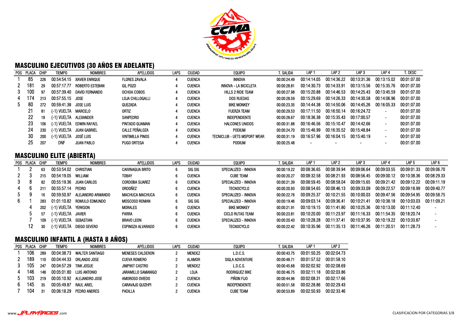

## MASCULINO EJECUTIVOS (30 AÑOS EN ADELANTE)

|    | POS PLACA | CHIP | <b>TIEMPO</b>         | <b>NOMBRES</b>         | <b>APELLIDOS</b>        | LAPS | <b>CIUDAD</b> | <b>EQUIPO</b>                | t. Salida   | LAP :                    | LAP <sub>2</sub> | LAP <sub>3</sub> | LAP <sub>4</sub> | t. Desc     |
|----|-----------|------|-----------------------|------------------------|-------------------------|------|---------------|------------------------------|-------------|--------------------------|------------------|------------------|------------------|-------------|
|    | 85        | 226  | 00:54:54.15           | XAVIER ENRIQUE         | <b>FLORES ZAVALA</b>    |      | <b>CUENCA</b> | <b>INNOVA</b>                | 00:00:24.49 | 00:14:14.05              | 00:14:36.22      | 00:13:31.36      | 00:13:15.02      | 00:01:07.00 |
|    | 181       | 29   | 00:57:17.77           | <b>ROBERTO ESTEBAN</b> | GIL POZO                |      | <b>CUENCA</b> | <b>INNOVA - LA BICICLETA</b> | 00:00:28.81 | 00:14:30.73              | 00:14:33.91      | 00:13:15.56      | 00:15:35.76      | 00:01:07.00 |
| 3. | 100       | 97   | 00:57:39.40           | DAVID FERNANDO         | OCHOA COBOS             |      | <b>CUENCA</b> | <b>HILLS 2 RIDE TEAM</b>     | 00:00:27.98 | 00:15:20.88              | 00:14:46.53      | 00:14:25.43      | 00:13:45.59      | 00:01:07.00 |
| 4  |           | 213  | 00:57:55.15 JOSE      |                        | LOJA CHILLOGALLI        |      | <b>CUENCA</b> | <b>DOS RUEDAS</b>            | 00:00:28.59 | 00:15:29.69              | 00:14:26.33      | 00:14:30.58      | 00:14:06.96      | 00:01:07.00 |
| 5. | -80       | 272  | 00:59:41.38 JOSE LUIS |                        | QUEZADA                 |      | <b>CUENCA</b> | <b>BIKE MONKEY</b>           | 00:00:23.35 | 00:14:44.38              | 00:14:50.06      | 00:14:45.26      | 00:16:05.33      | 00:01:07.00 |
|    | 21        | 81   | (-1) VUELTA MARCELO   |                        | <b>ORTIZ</b>            |      | <b>CUENCA</b> | <b>FUERZA TEAM</b>           | 00:00:29.53 | 00:17:11.50              | 00:16:50.14      | 00:16:24.72      | $\sim$           | 00:01:07.00 |
|    | 22        | 18   | (-1) VUELTA ALEXANDER |                        | SANPEDRO                |      | <b>CUENCA</b> | INDEPENDIENTE                | 00:00:28.67 | 00:18:36.38              | 00:15:35.43      | 00:17:00.57      | $\sim$           | 00:01:07.00 |
|    | -23       | 106  | (-1) VUELTA           | EDWIN RAFAEL           | PINTADO GUAMAN          |      | <b>CUENCA</b> | <b>HALCONES UNIDOS</b>       | 00:00:31.88 | 00:16:46.56              | 00:15:10.47      | 00:14:42.66      | $\sim$           | 00:01:07.00 |
|    | -24       | 230  | (-1) VUELTA           | JUAN GABRIEL           | CALLE PEÑALOZA          |      | <b>CUENCA</b> | <b>PODIUM</b>                | 00:00:24.70 | 00:15:46.99              | 00:16:35.52      | 00:15:48.84      | $\sim$           | 00:01:07.00 |
|    | 30        | 200  | (-1) VUELTA           | José Luis              | <b>VINTIMILLA PINOS</b> |      | <b>CUENCA</b> | TECNICLUB - UETS MSPORT WEAR | 00:00:31.19 | 00:16:57.96              | 00:16:04.15      | 00:15:40.19      | $\sim$           | 00:01:07.00 |
|    | 25        | 207  | DNF                   | <b>JUAN PABLO</b>      | <b>PUGO ORTEGA</b>      |      | <b>CUENCA</b> | <b>PODIUM</b>                | 00:00:25.48 | $\overline{\phantom{a}}$ |                  |                  | $\sim$           | 00:01:07.00 |

#### MASCULINO ELITE (ABIERTA)

|    | POS PLACA CHIP |     | <b>TIEMPO</b>         | <b>NOMBRES</b>          | APELLIDOS                 | LAPS | CIUDAD        | <b>EQUIPO</b>           | t. Salida   | LAP <sub>1</sub> | LAP <sub>2</sub> | LAP <sub>3</sub>        | LAP 4       | LAP 5       | LAP 6       |
|----|----------------|-----|-----------------------|-------------------------|---------------------------|------|---------------|-------------------------|-------------|------------------|------------------|-------------------------|-------------|-------------|-------------|
|    |                | 63  | 00:53:54.02 CHRISTIAN |                         | <b>CAIVINAGUA BRITO</b>   |      | SIG SIG       | SPECIALIZED - INNOVA    | 00:00:19.22 | 00:08:36.65      | 00:08:39.94      | 00:09:06.64             | 00:09:03.55 | 00:09:01.33 | 00:09:06.70 |
|    |                | 215 | 00:54:19.05 WILLIAM   |                         | <b>TOBAY</b>              |      | <b>CUENCA</b> | CUBE TEAM               | 00:00:20.27 | 00:08:32.58      | 00:08:21.93      | 00:08:56.45             | 00:09:00.12 | 00:10:38.36 | 00:08:29.33 |
| 3. |                | 82  |                       | 00:55:19.36 JUAN CARLOS | <b>CORDOBA SUAREZ</b>     |      | <b>CUENCA</b> | SPECIALIZED - INNOVA    | 00:00:21.39 | 00:08:59.45      | 00:08:58.04      | 00:09:15.65             | 00:09:21.42 | 00:09:12.22 | 00:09:11.19 |
|    |                | 211 | 00:55:57.14 PEDRO     |                         | ordoñez                   |      | <b>CUENCA</b> | TECNOCYCLO              | 00:00:20.93 | 00:08:54.65      | 00:08:46.13      | 00:09:33.09             | 00:09:22.57 | 00:09:18.99 | 00:09:40.77 |
|    |                | 16. | 00:59:50.97           | ALEJANDRO ARMANDO       | <b>MACHUCA MACHUCA</b>    |      | <b>CUENCA</b> | SPECIALIZED - INNOVA    | 00:00:22.76 | 00:09:25.37      | 00:10:21.55      | 00:10:00.03             | 00:09:47.56 | 00:09:54.95 | 00:09:58.75 |
|    |                | 283 | 01:01:10.82           | ROMULO EDMUNDO          | MOSCOSO ROMAN             |      | SIG SIG       | SPECIALIZED - INNOVA    | 00:00:19.46 | 00:09:03:14      | 00:09:36.41      | 00:10:21.41             | 00:10:38.18 | 00:10:03.03 | በበ 11 በባ 21 |
|    |                | 202 | (-1) VUELTA YERKSON   |                         | MORALES                   |      | <b>CUENCA</b> | bike monkey             | 00:00:21.91 | በበ 10 19 15      |                  | 00:11:41.80 00:10:25.36 | 00:10:13.00 | 00:11:12.40 |             |
|    |                | 57  | (-1) VUELTA           | Javier                  | PARRA                     |      | <b>CUENCA</b> | <b>CICLO RUTAS TEAM</b> | 00:00:23.81 | 00:10:20.00      | 00:11:23.97      | 00:11:16.33             | 00:11:54.35 | 00:18:20.74 |             |
|    |                | 109 | (-1) VUELTA SEBASTIAN |                         | <b>BRAVO LEON</b>         |      | <b>CUENCA</b> | SPECIALIZED - INNOVA    | 00:00:20.43 | 00:10:28.28      | 00:11:37.41      | 00:10:37.95             | 00:10:19.22 | 00:10:33.87 |             |
|    |                | 30  | (-1) Vuelta           | diego severo            | <b>FSPINOZA AI VARADO</b> |      | CUENCA        | TECNOCYCLO              | 00:00:22.42 | 00:10:35.96      | 00:11:35.13      | 00.11.46.26             | 00:11:20.51 | 00:11:28.73 |             |

## MASCULINO INFANTIL A (HASTA 8 AÑOS)

| POS | PLACA | CHIP | tiempo      | <b>NOMBRES</b>         | <b>APELLIDOS</b>        | LAPS | <b>CIUDAD</b> | <b>EQUIPO</b>        | ∵. SALIDA   | LP          | LAP <sub>2</sub> |
|-----|-------|------|-------------|------------------------|-------------------------|------|---------------|----------------------|-------------|-------------|------------------|
|     | 106   | 289  | 00:04:38.73 | <b>WALTER SANTIAGO</b> | <b>MENESES CALDERON</b> |      | <b>MENDEZ</b> | LD.C.S.              | 00:00:43.75 | 00:01:50.25 | 00:02:04.73      |
|     | 189   | 110  | 00:04:44.33 | ORLANDO JOSE           | CUEVA ROMERO            |      | <b>ALAMOR</b> | SIGLA ADVENTURE      | 00:00:48.71 | 00:01:57.52 | 00:01:58.10      |
|     | 105   | 247  | 00:04:57.29 | TINK JOSUE             | <b>JIMPIKIT CASTRO</b>  |      | <b>MENDEZ</b> | LDCS.                | 00:00:45.68 | 00:02:02.92 | 00:02:08.69      |
|     | 146   | 148  | 00:05:01.80 | LUIS ANTONIO           | JARAMILLO SAMANIGO      |      | LOJA          | RODRIGUEZ BIKE       | 00:00:46.75 | 00:02:11:18 | 00:02:03.86      |
|     | 103   | 219  | 00:05:10.92 | ALEJANDRO JOSE         | AMOROSO OVIEDO          |      | <b>CUENCA</b> | PIÑON FIJO           | 00:00:44.96 | 00:02:08.31 | 00:02:17.66      |
|     | 145   | 35   | 00:05:49.87 | <b>RAUL ARIEL</b>      | <b>CARAVAJO QUIZHPI</b> |      | <b>CUENCA</b> | <b>INDEPENDIENTE</b> | 00:00:51.58 | 00:02:28.86 | 00:02:29.43      |
|     | 104   | 31   | 00:06:18.29 | PEDRO ANDRES           | PADILLA                 |      | <b>CUENCA</b> | <b>CUBE TEAM</b>     | 00:00:53.89 | 00:02:50.93 | 00:02:33.46      |
|     |       |      |             |                        |                         |      |               |                      |             |             |                  |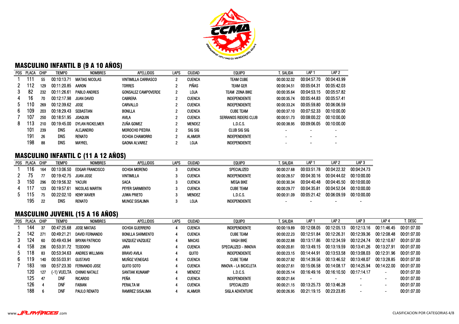

# MASCULINO INFANTIL B (9 A 10 AÑOS)

| POS . | PLACA | <b>CHIP</b> | <b>TIEMPO</b> | <b>NOMBRES</b>         | <b>APELLIDOS</b>           | LAPS           | <b>CIUDAD</b> | <b>EQUIPO</b>        | t. Salida   | LAP <sub>1</sub> | LAP 2       |
|-------|-------|-------------|---------------|------------------------|----------------------------|----------------|---------------|----------------------|-------------|------------------|-------------|
|       | 11.   | 55          | 00:10:13.71   | <b>MATIAS NICOLAS</b>  | <b>VINTIMILLA CARRASCO</b> | 2              | <b>CUENCA</b> | <b>TEAM CUBE</b>     | 00:00:32.02 | 00:04:57.70      | 00:04:43.99 |
|       | 112   | 129         | 00:11:20.85   | <b>AARON</b>           | <b>TORRES</b>              | 2              | PIÑAS         | <b>TEAM GER</b>      | 00:00:34.51 | 00:05:04.31      | 00:05:42.03 |
| 3.    | 82    | 232         | 00:11:26.61   | <b>PABLO ANDRES</b>    | <b>GONSALEZ CAMPOVERDE</b> | 2              | <b>LOJA</b>   | TEAM ZONA BIKE       | 00:00:35.64 | 00:04:53.15      | 00:05:57.82 |
| 4     | 16    | 70          | 00:12:17.98   | JUAN DAVID             | <b>CABRERA</b>             | 2              | <b>CUENCA</b> | <b>INDEPENDIENTE</b> | 00:00:35.74 | 00:05:44.83      | 00:05:57.41 |
| b.    | ∣10   | 269         | 00:12:39.62   | JOSE                   | CARVALLO                   | $\overline{2}$ | <b>CUENCA</b> | <b>INDEPENDIENTE</b> | 00:00:33.24 | 00:05:59.80      | 00:06:06.59 |
| 6.    | 109   | 203         | 00:18:29.43   | <b>SEBASTIAN</b>       | <b>BONILLA</b>             | 2              | <b>CUENCA</b> | <b>CUBE TEAM</b>     | 00:00:37.10 | 00:07:52.33      | 00:10:00.00 |
|       | 107   | 250         | 00:18:51.95   | <b>JOAOUIN</b>         | AVILA                      | 2              | <b>CUENCA</b> | SERRANOS RIDERS CLUB | 00:00:51.73 | 00:08:00.22      | 00:10:00.00 |
| 8     | 113   | 210         | 00:19:45.00   | <b>DYLAN RICKELMER</b> | ZUÑA GOMEZ                 | 2              | <b>MENDEZ</b> | L.D.C.S.             | 00:00:38.95 | 00:09:06.05      | 00:10:00.00 |
|       | 101   | 239         | <b>DNS</b>    | <b>ALEJANDRO</b>       | <b>MOROCHO PIEDRA</b>      | 2              | SIG SIG       | CLUB SIG SIG         |             |                  |             |
|       | 191   | 26          | <b>DNS</b>    | <b>RENATO</b>          | OCHOA CHAMORRO             | 2              | <b>ALAMOR</b> | <b>INDEPENDIENTE</b> |             |                  |             |
|       | 198   | 88          | <b>DNS</b>    | <b>MAYKEL</b>          | <b>GAONA ALVAREZ</b>       | 2              | LOJA          | <b>INDEPENDIENTE</b> |             |                  |             |

# **MASCULINO INFANTIL C (11 A 12 AÑOS)**

|    | POS PLACA | CHIP | <b>TIEMPO</b> | <b>NOMBRES</b>         | <b>APELLIDOS</b>      | LAPS | <b>CIUDAD</b> | <b>EQUIPO</b>        | '. Salida   | LAP:        | LAP <sub>2</sub> | LAP 3       |
|----|-----------|------|---------------|------------------------|-----------------------|------|---------------|----------------------|-------------|-------------|------------------|-------------|
|    | 116       | 164  | 00:13:06.50   | <b>EDGAR FRANCISCO</b> | OCHOA MORENO          |      | <b>CUENCA</b> | SPECIALIZED          | 00:00:27.68 | 00:03:51.78 | 00:04:22.32      | 00:04:24.73 |
|    | 75        |      | 00:19:42.75   | JUAN JOSE              | <b>VINTIMILLA</b>     |      | <b>CUENCA</b> | <b>INDEPENDIENTE</b> | 00:00:28.57 | 00:04:30.16 | 00:04:44.02      | 00:10:00.00 |
|    | 150       | 296  | 00:19:56.32   | YACURI                 | <b>SACA</b>           |      | <b>CUENCA</b> | <b>MEGA BIKE</b>     | 00:00:30.34 | 00:04:40.48 | 00:04:45.50      | 00:10:00.00 |
|    | 117       | 123  | 00:19:57.61   | NICOLAS MARTIN         | PEYER SARMIENTO       |      | <b>CUENCA</b> | <b>CUBE TEAM</b>     | 00:00:29.77 | 00:04:35.81 | 00:04:52.04      | 00:10:00.00 |
| h. |           | 75   | 00:22:02:10   | <b>KENY XAVIER</b>     | <b>JUWA PRIETO</b>    |      | <b>MENDEZ</b> | L.D.C.S              | 00:00:31.09 | 00:05:21.42 | 00:06:09.59      | 00:10:00.00 |
|    | 195       | 22   | DNS           | RENATO                 | <b>MUNOZ SISALIMA</b> |      | LOJA          | <b>INDEPENDIENTE</b> | -           |             |                  |             |

# MASCULINO JUVENIL (15 A 16 AÑOS)

| POS PLACA |     | <b>TIEMPO</b> | <b>NOMBRES</b> | <b>APELLIDOS</b>                                                                                                    | <b>LAPS</b> | CIUDAD        | <b>EQUIPO</b>                | . Salida    | LAP <sub>1</sub>         | LAP <sub>2</sub> | LAP <sub>3</sub>         | LAP <sub>4</sub> | . Desc                                                   |
|-----------|-----|---------------|----------------|---------------------------------------------------------------------------------------------------------------------|-------------|---------------|------------------------------|-------------|--------------------------|------------------|--------------------------|------------------|----------------------------------------------------------|
| 144       | 37  | 00:47:25.68   |                | OCHOA GUERRERO                                                                                                      |             | <b>CUENCA</b> | <b>INDEPENDIENTE</b>         | 00:00:19.89 | 00:12:08.05              | 00:12:05.13      | 00:12:13.16              |                  | 00:01:07.00                                              |
| - 142     | 271 | 00:49:21.21   |                | <b>BONILLA SARMIENTO</b>                                                                                            |             | <b>CUENCA</b> | <b>CUBE TEAM</b>             | 00:00:22.23 | 00:12:51.84              | 00:12:26.31      | 00:12:39.36              | 00:12:08.48      | 00:01:07.00                                              |
| -124      | 60  | 00:49:43.94   |                | VAZQUEZ VAZQUEZ                                                                                                     |             | <b>MACAS</b>  | VAGH BIKE                    | 00:00:22.88 | 00:13:17.86              | 00:12:34.59      | 00:12:24.74              | 00:12:10.87      | 00:01:07.00                                              |
| -158      | 236 |               |                | JARA                                                                                                                |             | <b>CUENCA</b> | SPECIALIZED - INNOVA         | 00:00:20.81 | 00:13:49:15              | 00:13:19.59      | 00:13:41.26              |                  | 00:01:07.00                                              |
| - 118     | 83  | 00:53:34.63   |                | <b>BRAVO AVILA</b>                                                                                                  |             | Quito         | INDEPENDIENTE                | 00:00:23.15 | 00:14:44.91              | 00:13:53.58      | 00:13:08.03              |                  | 00:01:07.00                                              |
| -119      | 140 | 00:55:03.91   | <b>GUSTAVO</b> | MUÑOZ VENEGAS                                                                                                       |             | <b>CUENCA</b> | <b>CUBE TEAM</b>             | 00:00:27.92 | 00:14:39.56              | 00:13:46.52      | 00:13:48.07              | 00:13:28.85      | 00:01:07.00                                              |
| 183       | 169 | 00:57:23.30   |                | QUITO SOTO                                                                                                          |             | CUENCA        | <b>INNOVA - LA BICICLETA</b> | 00:00:27.61 | 00:15:06.58              | 00:14:08.17      | 00:14:25.94              |                  | 00:01:07:00                                              |
| 120       | 127 | (-1) VUELTA   | CHINKI NATALE  | SANTIAK KUNAMP                                                                                                      |             | <b>MENDEZ</b> | LD.C.S.                      | 00:00:25.14 | 00:16:49:16              | 00:16:10.50      | 00:17:14.17              | ۰.               | 00:01:07.00                                              |
| 125       | 47  | DNF           | RICARDO        | Peña                                                                                                                |             | <b>CUENCA</b> | <b>INDEPENDIENTE</b>         | 00:00:21.64 | $\overline{\phantom{0}}$ |                  |                          | - 1              | 00:01:07.00                                              |
| 126       |     | DNF           | FABIAN         | PERALTA M                                                                                                           |             | CUENCA        | SPECIALIZED                  | 00:00:21.15 | 00:13:25.73              | 00:13:46.28      | $\overline{\phantom{a}}$ | - 1              | 00:01:07.00                                              |
| 188       |     | DNF           | PAULO RENATO   | RAMIREZ SISALIMA                                                                                                    |             | ALAMOR        | <b>SIGLA ADVENTURE</b>       | 00:00:26.95 | 00:21:19.15              | 00:23:23.85      | $\overline{\phantom{a}}$ | $\sim$           | 00:01:07.00                                              |
|           |     | CHIP          |                | JOSE MATIAS<br>DAVID FERNANDO<br>BRYAN PATRICIO<br>00:53:31.72<br><b>TEODORO</b><br>ANDRES WILLMAN<br>FERNANDO JOSE |             |               |                              |             |                          |                  |                          |                  | 00:11:46.45<br>00:13:27.91<br>00:12:31.96<br>00:14:22.00 |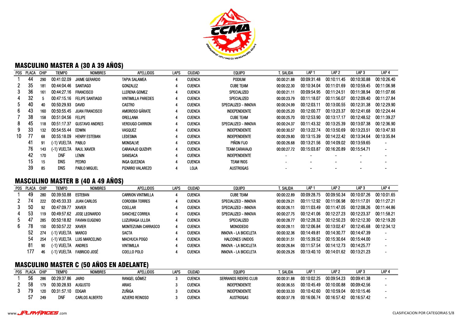

## MASCULINO MASTER A (30 A 39 AÑOS)

| POS . | PLACA | CHIP | <b>TIEMPO</b> | <b>NOMBRES</b>         | <b>APELLIDOS</b>          | LAPS | <b>CIUDAD</b> | <b>EQUIPO</b>               | t. Salida   | LAP 1       | LAP <sub>2</sub> | LAP <sub>3</sub> | LAP 4          |
|-------|-------|------|---------------|------------------------|---------------------------|------|---------------|-----------------------------|-------------|-------------|------------------|------------------|----------------|
|       | 44    | 290  | 00:41:02.09   | <b>JAIME GERARDO</b>   | TAPIA SALAMEA             |      | <b>CUENCA</b> | <b>PODIUM</b>               | 00:00:21.88 | 00:09:31.48 | 00:10:11.45      | 00:10:30.88      | 00:10:26.40    |
|       | 35    | 181  | 00:44:04.46   | <b>SANTIAGO</b>        | GONZALEZ                  |      | <b>CUENCA</b> | <b>CUBE TEAM</b>            | 00:00:22.30 | 00:10:34.04 | 00:11:01.69      | 00:10:59.45      | 00:11:06.98    |
| 3     | 36    | 161  | 00:44:27.16   | <b>FRANCISCO</b>       | <b>LLERENA GOMEZ</b>      | 4    | <b>CUENCA</b> | <b>SPECIALIZED</b>          | 00:00:21.11 | 00:09:54.95 | 00:11:24.51      | 00:11:38.94      | 00:11:07.66    |
|       | 32    | h    | 00:47:15.16   | <b>FELIPE SANTIAGO</b> | <b>VINTIMILLA PAREDES</b> |      | <b>CUENCA</b> | <b>SPECIALIZED</b>          | 00:00:23.79 | 00:11:18.07 | 00:11:56.07      | 00:12:09.40      | 00:11:27.84    |
| Ð.    | 4U    | 40   | 00:50:29.93   | DAVID                  | <b>CASTRO</b>             |      | <b>CUENCA</b> | <b>SPECIALIZED - INNOVA</b> | 00:00:24.99 | 00:12:03.11 | 00:13:00.55      | 00:12:31.38      | 00:12:29.90    |
| 6.    | 43    | 160  | 00:50:55.45   | <b>JUAN FRANCISCO</b>  | AMOROSO GÁRATE            | 4    | <b>CUENCA</b> | <b>INDEPENDIENTE</b>        | 00:00:25.20 | 00:12:00.77 | 00:13:23.37      | 00:12:41.68      | 00:12:24.44    |
|       | 38    | 158  | 00:51:04.56   | <b>FELIPE</b>          | ORELLANA                  |      | <b>CUENCA</b> | <b>CUBE TEAM</b>            | 00:00:25.70 | 00:12:53.90 | 00:13:17.17      | 00:12:48.52      | 00:11:39.27    |
| 8.    | 45    | 118  | 00:51:17.37   | <b>GUSTAVO ANDRES</b>  | <b>VERDUGO CARRION</b>    |      | CUENCA        | SPECIALIZED - INNOVA        | 00:00:24.37 | 00:11:43.32 | 00:13:25.39      | 00:13:07.38      | 00:12:36.90    |
| 9     | 33    | 132  | 00:54:55.44   | edwin                  | <b>VASQUEZ</b>            | 4    | CUENCA        | <b>INDEPENDIENTE</b>        | 00:00:30.57 | 00:13:22.74 | 00:13:50.69      | 00:13:23.51      | 00:13:47.93    |
| 10    | 77    | 68   | 00:55:18.09   | <b>HENRY ESTEBAN</b>   | <b>LEDESMA</b>            |      | <b>CUENCA</b> | <b>INDEPENDIENTE</b>        | 00:00:29.80 | 00:13:15.39 | 00:14:22.42      | 00:13:34.64      | 00:13:35.84    |
|       | 41    | 91   | (-1) VUELTA   | PABLO                  | <b>MONSALVE</b>           | 4    | CUENCA        | PIÑON FIJO                  | 00:00:26.68 | 00:13:21.56 | 00:14:09.02      | 00:13:59.65      |                |
|       | 76    | 143  | (-1) VUELTA   | <b>RAUL XAVIER</b>     | <b>CARAVAJO QUIZHPI</b>   | 4    | CUENCA        | TEAM CARAVAJO               | 00:00:27.72 | 00:15:03.87 | 00:16:20.89      | 00:15:54.71      | $\blacksquare$ |
|       | 42    | 170  | <b>DNF</b>    | LENIN                  | SANISACA                  |      | <b>CUENCA</b> | <b>INDEPENDIENTE</b>        |             |             |                  |                  |                |
|       | 15    | 15   | <b>DNS</b>    | PEDRO                  | INGA QUEZADA              | 4    | CUENCA        | <b>TEAM RIOS</b>            |             |             |                  |                  |                |
|       | 39    | 85   | <b>DNS</b>    | <b>PABLO MIGUEL</b>    | PIZARRO VALAREZO          |      | LOJA          | <b>AUSTROGAS</b>            |             |             |                  |                  |                |

#### MASCULINO MASTER B (40 A 49 AÑOS)

|    | POS PLACA | CHIP | <b>TIEMPO</b>      | <b>NOMBRES</b> | <b>APELLIDOS</b>          | <b>LAPS</b> | CIUDAD        | <b>EQUIPO</b>          | t. Salida   | LAP 1       | LAP <sub>2</sub> | LAP <sub>3</sub> | LAP <sub>4</sub>         |
|----|-----------|------|--------------------|----------------|---------------------------|-------------|---------------|------------------------|-------------|-------------|------------------|------------------|--------------------------|
|    | 49        | 280  | 00:39:50.88        | ESTEBAN        | <b>CARRION VINTIMILLA</b> |             | <b>CUENCA</b> | <b>CUBE TEAM</b>       | 00:00:22.89 | 00:09:28.75 | 00:09:50.34      | 00:10:07.26      | 00:10:01.65              |
|    | 74        | 222  | 00:45:33.33        | JUAN CARLOS    | <b>CORDOBA TORRES</b>     |             | <b>CUENCA</b> | SPECIALIZED - INNOVA   | 00:00:29.21 | 00:11:12.92 | 00:11:06.98      | 00:11:17.01      | 00:11:27.21              |
| 3. | 50        | 92   | 00:47:09.77        | XAVIFR         | <b>COELLAR</b>            |             | <b>CUENCA</b> | SPECIALIZED - INNOVA   | 00:00:26.11 | 00:11:03:49 | 00:11:47.05      | 00:12:08.26      | 00:11:44.86              |
| -4 | 53        | 119  | 00:49:57.62        | JOSE I FONARDO | SANCHEZ CORREA            |             | <b>CUENCA</b> | SPECIALIZED - INNOVA   | 00:00:27.75 | 00:12:41.06 | 00:12:27.23      | 00:12:23.37      | 00:11:58.21              |
| ს. | 47        | 285  | 00:50:18.82        | FAVIAN EUGENIO | LUZURIAGA ULLOA           |             | <b>CUENCA</b> | SPECIALIZED            | 00:00:28.77 | 00:12:28.32 | 00:12:50.23      | 00:12:12.30      | 00:12:19.20              |
| 6. | 78        | 150  | 00:50:57.22 XAVIER |                | <b>MONTEZUMA CARRASCO</b> |             | <b>CUENCA</b> | <b>MONODEDO</b>        | 00:00:28.11 | 00:12:06.84 | 00:13:02.47      | 00:12:45.68      | 00:12:34:12              |
|    | 52        | 274  | (-1) VUELTA        | <b>MARCO</b>   | <b>SACTA</b>              |             | <b>CUENCA</b> | INNOVA - LA BICICLETA  | 00:00:32.36 | 00:14:49.81 | 00:14:30.77      | 00:14:47.39      | $\overline{\phantom{a}}$ |
|    | 54        | 254  | (-1) VUELTA        | LUIS MARCELINO | <b>MACHUCA POGO</b>       |             | <b>CUENCA</b> | <b>HALCONES UNIDOS</b> | 00:00:31.51 | 00:15:39.52 | 00:15:30.64      | 00:15:44.00      |                          |
|    | 81        | 90   | (-1) VUELTA        | <b>ANDRES</b>  | <b>VINTIMILLA</b>         |             | <b>CUENCA</b> | INNOVA - LA BICICLETA  | 00:00:26.84 | 00:11:57.54 | 00:14:12.73      | 00:14:25.77      | . .                      |
|    | 177       | 46   | (-1) VUELTA        | FABRICIO JOSÉ  | <b>COELLO POLO</b>        |             | <b>CUENCA</b> | INNOVA - LA BICICLETA  | 00:00:29.26 | 00:13:40.10 | 00:14:01.62      | 00:13:21.23      |                          |
|    |           |      |                    |                |                           |             |               |                        |             |             |                  |                  |                          |

## MASCULINO MASTER C (50 AÑOS EN ADELANTE)

| POS PLACA | CHIP | <b>TIEMPO</b> | <b>NOMBRES</b> | <b>APELLIDOS</b> | LAPS | CIUDAD | <b>EQUIPO</b>               | t. Salida   | LAP <sup>-</sup> | LAP ?       | LAP 3       | LAP/ |
|-----------|------|---------------|----------------|------------------|------|--------|-----------------------------|-------------|------------------|-------------|-------------|------|
| 56        | 286  | 00:29:37.86   | <b>JAIRO</b>   | RANGEL GÓMEZ     |      | CUENCA | <b>SERRANOS RIDERS CLUB</b> | 00:00:31.88 | 00:10:02.25      | 00:09:54.23 | 00:09:41.38 |      |
| 58        | 179  | 00:30:28.93   | AUGUSTO        | ARIAS            |      | CUENCA | <b>INDEPENDIENTE</b>        | 00:00:36.55 | 00:10:45.49      | 00:10:00.88 | 00:09:42.56 |      |
| 79        | 120  | 00:31:57.10   | <b>FDGAR</b>   | ZUÑIGA           |      | CUENCA | INDEPENDIENTE               | 00:00:33.33 | 00:10:42.60      | 00:10:59.04 | 00:10:15.46 |      |
| 57        | 249  | DNI           | CARLOS ALBERTO | AZUERO REINOSO   |      | CUENCA | AUSTROGAS                   | 00:00:37.78 | 00:16:06.74      | 00:16:57.42 | 00:16:57.42 |      |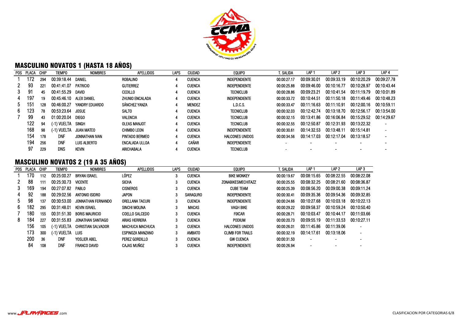

## MASCULINO NOVATOS 1 (HASTA 18 AÑOS)

| <b>POS</b> | PLACA | CHIP | <b>TIEMPO</b> | <b>NOMBRES</b>    | <b>APELLIDOS</b>   | LAPS | <b>CIUDAD</b> | <b>EQUIPO</b>          | '. Salida   | LAP :       | LP <sub>2</sub> | LAP <sub>3</sub> | LAP <sub>4</sub> |
|------------|-------|------|---------------|-------------------|--------------------|------|---------------|------------------------|-------------|-------------|-----------------|------------------|------------------|
|            | '72   | 294  | 00:39:18.44   | DANIEL            | ROBALINO           |      | <b>CUENCA</b> | <b>INDEPENDIENTE</b>   | 00:00:27.17 | 00:09:30.01 | 00:09:33.19     | 00:10:20.29      | 00:09:27.78      |
|            | 93    | 221  | 00:41:41.07   | <b>PATRICIO</b>   | <b>GUTIERREZ</b>   | 4    | <b>CUENCA</b> | <b>INDEPENDIENTE</b>   | 00:00:25.88 | 00:09:46.00 | 00:10:16.77     | 00:10:28.97      | 00:10:43.44      |
| 3          | 91    | 45   | 00:41:55.29   | DAVID             | <b>CEDILLO</b>     | 4    | CUENCA        | <b>TECNICLUB</b>       | 00:00:28.86 | 00:09:23.21 | 00:10:41.54     | 00:11:19.79      | 00:10:01.89      |
| 4          | 197   | 19   | 00:45:46.10   | ALEX DANIEL       | ZHUNIO ENCALADA    | 4    | <b>CUENCA</b> | <b>INDEPENDIENTE</b>   | 00:00:33.72 | 00:10:44.51 | 00:11:50.18     | 00:11:49.46      | 00:10:48.23      |
| 5.         | 151   | 128  | 00:46:00.27   | YANDRY EDUARDO    | SÁNCHEZ YANZA      | 4    | <b>MENDEZ</b> | L.D.C.S.               | 00:00:33.47 | 00:11:16.63 | 00:11:10.91     | 00:12:00.16      | 00:10:59.11      |
| 6.         | 123   | 78   | 00:53:23.64   | <b>JOSUE</b>      | SALTO              | 4    | <b>CUENCA</b> | <b>TECNICLUB</b>       | 00:00:32.03 | 00:12:42.74 | 00:13:18.70     | 00:12:56.17      | 00:13:54.00      |
|            | 99    | 43   | 01:00:20.04   | DIEGO             | <b>VALENCIA</b>    | 4    | <b>CUENCA</b> | <b>TECNICLUB</b>       | 00:00:32.15 | 00:13:41.86 | 00:16:06.84     | 00:15:29.52      | 00:14:29.67      |
|            | 122   | 94   | (-1) VUELTA   | <b>SINGH</b>      | OLEAS MANJOT       | 4    | <b>CUENCA</b> | <b>TECNICLUB</b>       | 00:00:32.55 | 00:12:50.87 | 00:12:31.93     | 00:13:22.32      |                  |
|            | 168   | 98   | (-1) VUELTA   | <b>JUAN MATEO</b> | <b>CHIMBO LEON</b> | 4    | <b>CUENCA</b> | <b>INDEPENDIENTE</b>   | 00:00:30.61 | 00:14:32.53 | 00:13:48.11     | 00:15:14.81      |                  |
|            | 154   | 178  | <b>DNF</b>    | JONNATHAN IVAN    | PINTADO BERMEO     | 4    | <b>CUENCA</b> | <b>HALCONES UNIDOS</b> | 00:00:34.56 | 00:14:17.03 | 00:12:17.04     | 00:13:18.57      |                  |
|            | 194   | 256  | <b>DNF</b>    | LUIS ALBERTO      | ENCALADA ULLOA     |      | CAÑAR         | <b>INDEPENDIENTE</b>   |             |             |                 |                  |                  |
|            | 97    | 229  | DNS           | <b>KEVIN</b>      | ARICHABALA         |      | CUENCA        | <b>TECNICLUB</b>       |             |             |                 |                  |                  |
|            |       |      |               |                   |                    |      |               |                        |             |             |                 |                  |                  |

## MASCULINO NOVATOS 2 (19 A 35 AÑOS)

| POS. | PLACA | <b>CHIP</b> | <b>TIEMPO</b> | <b>NOMBRES</b>        | <b>APELLIDOS</b>       | LAPS | <b>CIUDAD</b>   | <b>EQUIPO</b>             | t. Salida   | LAP <sub>1</sub> | LAP <sub>2</sub> | LAP <sub>3</sub>         |
|------|-------|-------------|---------------|-----------------------|------------------------|------|-----------------|---------------------------|-------------|------------------|------------------|--------------------------|
|      | 170   | 112         | 00:25:00.27   | <b>BRYAN ISRAEL</b>   | lópez                  |      | <b>CUENCA</b>   | <b>BIKE MONKEY</b>        | 00:00:19.67 | 00:08:15.65      | 00:08:22.55      | 00:08:22.08              |
|      | 88    | 111         | 00:25:30.73   | <b>VICENTE</b>        | <b>SICHA</b>           | 3    | <b>CUENCA</b>   | <b>ZONABIKESMECHITAZZ</b> | 00:00:25.55 | 00:08:32.25      | 00:08:21.60      | 00:08:36.87              |
|      | 169   | 194         | 00:27:07.82   | PABLO                 | <b>CISNEROS</b>        |      | <b>CUENCA</b>   | <b>CUBE TEAM</b>          | 00:00:25.39 | 00:08:56.20      | 00:09:00.38      | 00:09:11.24              |
|      | 92    | 188         | 00:29:02.56   | ANTONIO ISIDRO        | <b>JAPON</b>           |      | <b>SARAGURO</b> | <b>INDEPENDIENTE</b>      | 00:00:30.41 | 00:09:35.36      | 00:09:54.36      | 00:09:32.85              |
|      | 98    | 137         | 00:30:53.00   | JONNATHAN FERNANDO    | ORELLANA TACURI        |      | <b>CUENCA</b>   | <b>INDEPENDIENTE</b>      | 00:00:24.66 | 00:10:27.68      | 00:10:03.18      | 00:10:22:13              |
| 6.   | 182   | 295         | 00:31:48.01   | <b>KEVIN ISRAEL</b>   | SINCHI MOLINA          | 3    | <b>MACAS</b>    | <b>VAGH BIKE</b>          | 00:00:29.22 | 00:09:58.37      | 00:10:59.24      | 00:10:50.40              |
|      | 180   | 155         | 00:31:51.30   | <b>BORIS MAURICIO</b> | <b>COELLO SALCEDO</b>  | 3    | <b>CUENCA</b>   | <b>FIXCAR</b>             | 00:00:28.71 | 00:10:03.47      | 00:10:44.17      | 00:11:03.66              |
| 8    | 184   | 227         | 00:31:55.83   | JONATHAN SANTIAGO     | ARIAS HERRERA          |      | <b>CUENCA</b>   | <b>PODIUM</b>             | 00:00:20.73 | 00:09:55.19      | 00:11:33.53      | 00:10:27.11              |
|      | 156   | 105         | (-1) VUELTA   | CHRISTIAN SALVADOR    | <b>MACHUCA MACHUCA</b> | 3    | <b>CUENCA</b>   | <b>HALCONES UNIDOS</b>    | 00:00:26.01 | 00:11:45.86      | 00.11.39.06      | $\overline{\phantom{0}}$ |
|      | 173   | 300         | (-1) VUELTA   | Luis                  | ESPINOZA MANZANO       | 3    | <b>AMBATO</b>   | <b>CLIMB FOR TRAILS</b>   | 00:00:32.19 | 00:14:17.61      | 00:13:18.06      | $\blacksquare$           |
|      | 200   | 36          | <b>DNF</b>    | YOSLIER ABEL          | PEREZ GORDILLO         |      | <b>CUENCA</b>   | <b>GW CUENCA</b>          | 00:00:31.50 | $\,$             |                  |                          |
|      | 84    | 108         | <b>DNF</b>    | <b>FRANCO DAVID</b>   | <b>CAJAS MUÑOZ</b>     |      | <b>CUENCA</b>   | <b>INDEPENDIENTE</b>      | 00:00:26.94 | -                |                  |                          |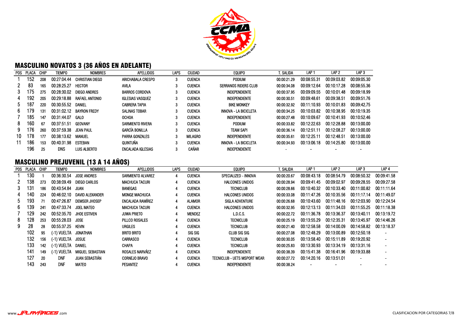

## MASCULINO NOVATOS 3 (36 AÑOS EN ADELANTE)

|       | POS PLACA | <b>CHIP</b> | <b>TIEMPO</b> | <b>NOMBRES</b>         | <b>APELLIDOS</b>        | LAPS | <b>CIUDAD</b>  | <b>EQUIPO</b>               | <b>T. SALIDA</b> | LAP 1       | LAP <sub>2</sub> | LP <sub>3</sub> |
|-------|-----------|-------------|---------------|------------------------|-------------------------|------|----------------|-----------------------------|------------------|-------------|------------------|-----------------|
|       | 152       | 208         | 00:27:04.44   | <b>CHRISTIAN DIEGO</b> | ARICHABALA CRESPO       | 3    | <b>CUENCA</b>  | <b>PODIUM</b>               | 00:00:21.29      | 00:08:55.31 | 00:09:03.82      | 00:09:05.30     |
| 2     | 83        | 165         | 00:28:25.27   | <b>HECTOR</b>          | AVILA                   | 3    | <b>CUENCA</b>  | <b>SERRANOS RIDERS CLUB</b> | 00:00:34.08      | 00:09:12.64 | 00:10:17.28      | 00:08:55.36     |
| 3.    | 175       | 275         | 00:28:30.02   | DIEGO ANDRES           | <b>BARROS CORDOVA</b>   | 3    | <b>CUENCA</b>  | <b>INDEPENDIENTE</b>        | 00:00:37.95      | 00:09:09.55 | 00:10:01.48      | 00:09:18.99     |
| 4     | 192       | 205         | 00:29:18.88   | <b>RAFAEL ANTONIO</b>  | <b>IGLESIAS VASQUEZ</b> | 3    | <b>CUENCA</b>  | <b>INDEPENDIENTE</b>        | 00:00:30.51      | 00:09:48.61 | 00:09:38.51      | 00:09:51.76     |
| $5 -$ | 187       | 220         | 00:30:55.52   | DANIEL                 | <b>CABRERA TAPIA</b>    | 3    | <b>CUENCA</b>  | <b>BIKE MONKEY</b>          | 00:00:32.92      | 00:11:10.93 | 00:10:01.83      | 00:09:42.75     |
| 6.    | 179       | 131         | 00:31:02.12   | <b>BAYRON FREDY</b>    | SALINAS TOBAR           | 3    | <b>CUENCA</b>  | INNOVA - LA BICICLETA       | 00:00:34.25      | 00:10:03.82 | 00:10:38.95      | 00:10:19.35     |
|       | 185       | 147         | 00:31:44.07   | GALO                   | <b>OCHOA</b>            | 3    | <b>CUENCA</b>  | <b>INDEPENDIENTE</b>        | 00:00:27.48      | 00:10:09.67 | 00:10:41.93      | 00:10:52.46     |
| 8.    | 160       | 67          | 00:37:51.51   | GEOVANY                | <b>SARMIENTO RIVERA</b> | 3    | <b>CUENCA</b>  | <b>PODIUM</b>               | 00:00:33.82      | 00:12:22.63 | 00:12:28.88      | 00:13:00.00     |
| 9.    | 176       | 260         | 00:37:59.38   | JFAN PAUL              | <b>GARCÍA BONILLA</b>   | 3    | <b>CUENCA</b>  | <b>TEAM SAPI</b>            | 00:00:36.14      | 00:12:51.11 | 00:12:08.27      | 00:13:00.00     |
| 10    | 178       | 177         | 00:38:13.62   | MANUFI                 | PARRA GONZALES          | 3    | <b>MILAGRO</b> | <b>INDEPENDIENTE</b>        | 00:00:35.61      | 00:12:25.11 | 00:12:48.51      | 00:13:00.00     |
| 11    | 186       | 153         | 00:40:31.98   | ESTEBAN                | QUINTUÑA                | 3    | <b>CUENCA</b>  | INNOVA - LA BICICLETA       | 00:00:34.93      | 00:13:06.18 | 00:14:25.80      | 00:13:00.00     |
|       | 196       | 25          | DNS           | LUIS ALBERTO           | ENCALADA IGLESIAS       | 3    | CAÑAR          | <b>INDEPENDIENTE</b>        | -                |             |                  |                 |

## MASCULINO PREJUVENIL (13 A 14 AÑOS)

|    | POS PLACA | CHIP | <b>TIEMPO</b> | <b>NOMBRES</b>       | <b>APELLIDOS</b>         | <b>LAPS</b> | <b>CIUDAD</b> | <b>EQUIPO</b>                | t. Salida   | LAP <sub>1</sub> | LAP 2       | LAP 3                    | LAP <sub>4</sub>         |
|----|-----------|------|---------------|----------------------|--------------------------|-------------|---------------|------------------------------|-------------|------------------|-------------|--------------------------|--------------------------|
|    | 130       |      | 00:36:30.54   | <b>JOSE ANDRES</b>   | <b>SARMIENTO ALVAREZ</b> | 4           | <b>CUENCA</b> | SPECIALIZED - INNOVA         | 00:00:20.67 | 00:08:43.18      | 00:08:54.79 | 00:08:50.32              | 00:09:41.58              |
|    | 138       | 273  | 00:38:09.49   | DIEGO CARLOS         | <b>MACHUCA TACURI</b>    |             | <b>CUENCA</b> | <b>HALCONES UNIDOS</b>       | 00:00:28.94 | 00:09:41.45      | 00:09:02.97 | 00:09:28.55              | 00:09:27.58              |
| 3. | 131       | 186  | 00:43:54.84   | JUAN                 | <b>BANEGAS</b>           | 4           | CUENCA        | <b>TECNICLUB</b>             | 00:00:28.66 | 00:10:40.32      | 00:10:33.40 | 00:11:00.82              | 00:11:11.64              |
| 4  | 140       | 224  | 00:46:02.10   | DAVID ALEXANDER      | <b>MONGE MACHUCA</b>     | 4           | <b>CUENCA</b> | <b>HALCONES UNIDOS</b>       | 00:00:33.08 | 00:11:47.26      | 00:10:35.56 | 00:11:17.14              | 00:11:49.07              |
| b. | 193       | 71   | 00:47:26.87   | <b>DEMSER JHOSEP</b> | <b>ENCALADA RAMÍREZ</b>  |             | <b>ALAMOR</b> | SIGLA ADVENTURE              | 00:00:26.68 | 00:10:43.60      | 00:11:48.16 | 00:12:03.90              | 00:12:24.54              |
| 6. | 139       | 241  | 00:47:33.74   | JOEL MATEO           | <b>MACHUCA TACURI</b>    | 4           | <b>CUENCA</b> | <b>HALCONES UNIDOS</b>       | 00:00:32.95 | 00:12:13.13      | 00:11:34.03 | 00:11:55.25              | 00:11:18.38              |
|    | 129       | 242  | 00:52:35.70   | JHOE ESTIVEN         | JUWA PRIETO              |             | <b>MENDEZ</b> | L.D.C.S.                     | 00:00:22.72 | 00:11:36.78      | 00:13:36.37 | 00:13:40.11              | 00:13:19.72              |
| 8  | 128       | 253  | 00:55:28.03   | <b>JOSE</b>          | PILLCO ROSALES           | 4           | <b>CUENCA</b> | <b>TECNICLUB</b>             | 00:00:25.19 | 00:13:55.29      | 00:12:35.31 | 00:13:45.97              | 00:14:46.26              |
| 9  | 28        | 28   | 00:55:37.25   | kevin                | <b>URGILES</b>           | 4           | <b>CUENCA</b> | <b>TECNICLUB</b>             | 00:00:21.40 | 00:12:58.58      | 00:14:00.09 | 00:14:58.82              | 00:13:18.37              |
|    | 102       | 95   | (-1) VUELTA   | JONATHAN             | <b>BRITO BRITO</b>       |             | SIG SIG       | CLUB SIG SIG                 | 00:00:27.08 | 00:12:48.29      | 00:13:00.89 | 00:12:50.18              |                          |
|    | 132       | 156  | (-1) VUELTA   | <b>JOSUE</b>         | <b>CARRASCO</b>          | 4           | <b>CUENCA</b> | <b>TECNICLUB</b>             | 00:00:30.05 | 00:13:58.40      | 00:15:11.89 | 00:19:20.92              | $\overline{\phantom{0}}$ |
|    | 133       | 142  | (-1) VUELTA   | Daniel               | CHAPA                    | 4           | <b>CUENCA</b> | <b>TECNICLUB</b>             | 00:00:25.83 | 00:13:30.93      | 00:13:34.19 | 00:13:31.16              | $\sim$                   |
|    | 141       | 149  | (-1) VUELTA   | MIGUEL SEBASTIAN     | ROSALES NARVÁEZ          |             | CUENCA        | <b>INDEPENDIENTE</b>         | 00:00:38.39 | 00:15:41.38      | 00:16:41.96 | 00:19:33.88              | $\overline{\phantom{a}}$ |
|    | 127       | 20   | <b>DNF</b>    | JUAN SEBASTIÁN       | <b>CORNEJO BRAVO</b>     | 4           | <b>CUENCA</b> | TECNICLUB - UETS MSPORT WEAR | 00:00:27.72 | 00:14:20.16      | 00:13:51.01 | $\overline{\phantom{a}}$ |                          |
|    | 143       | 243  | DNF           | <b>MATEO</b>         | <b>PESANTEZ</b>          |             | CUENCA        | <b>INDEPENDIENTE</b>         | 00:00:38.24 |                  |             |                          |                          |